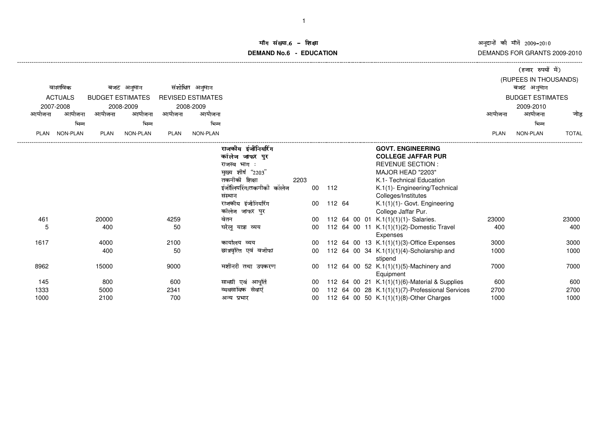अनुदानों की माँगें 2009–2010<br>DEMANDS FOR GRANTS 2009-2010

## iंग संख्या.6 -<br>'' **DEMAND No.6 - EDUCATIONराक्षा संस्कृतिका संस्कृतिका संस्कृतिका संस्कृतिका संस्कृतिका संस्कृतिका संस्कृतिका संस्कृतिका संस्कृतिका संस्**

|                        |                 |                         |           |                          |                 |                          |      |    |        |  |                                                 |                         | (हजार रुपयों में) |              |  |
|------------------------|-----------------|-------------------------|-----------|--------------------------|-----------------|--------------------------|------|----|--------|--|-------------------------------------------------|-------------------------|-------------------|--------------|--|
|                        |                 |                         |           |                          |                 |                          |      |    |        |  | (RUPEES IN THOUSANDS)                           |                         |                   |              |  |
| वास्तविक<br>बजट अनुमान |                 |                         |           | संशोधित अनुमान           |                 |                          |      |    |        |  |                                                 | बजट अनुमान              |                   |              |  |
| <b>ACTUALS</b>         |                 | <b>BUDGET ESTIMATES</b> |           | <b>REVISED ESTIMATES</b> |                 |                          |      |    |        |  |                                                 | <b>BUDGET ESTIMATES</b> |                   |              |  |
|                        | 2007-2008       |                         | 2008-2009 |                          | 2008-2009       |                          |      |    |        |  |                                                 |                         | 2009-2010         |              |  |
| आयोजना                 | आयोजना          | आयोजना                  | आयोजना    | आयोजना                   | आयोजना          |                          |      |    |        |  |                                                 | आयोजना                  | आयोजना            | जोड          |  |
|                        | भिन्न           |                         | भिन्न     |                          | भिन्न           |                          |      |    |        |  |                                                 |                         | भिन्न             |              |  |
| <b>PLAN</b>            | <b>NON-PLAN</b> | <b>PLAN</b>             | NON-PLAN  | <b>PLAN</b>              | <b>NON-PLAN</b> |                          |      |    |        |  |                                                 | <b>PLAN</b>             | NON-PLAN          | <b>TOTAL</b> |  |
|                        |                 |                         |           |                          |                 |                          |      |    |        |  |                                                 |                         |                   |              |  |
|                        |                 |                         |           |                          |                 | राजकीय डंजीनियरिंग       |      |    |        |  | <b>GOVT. ENGINEERING</b>                        |                         |                   |              |  |
|                        |                 |                         |           |                          |                 | कॉलेज जाफर पुर           |      |    |        |  | <b>COLLEGE JAFFAR PUR</b>                       |                         |                   |              |  |
|                        |                 |                         |           |                          |                 | राजस्व भाग :             |      |    |        |  | <b>REVENUE SECTION:</b>                         |                         |                   |              |  |
|                        |                 |                         |           |                          |                 | मुख्य शीर्ष "2203"       |      |    |        |  | MAJOR HEAD "2203"                               |                         |                   |              |  |
|                        |                 |                         |           |                          |                 | तकनीकी शिक्षा            | 2203 |    |        |  | K.1- Technical Education                        |                         |                   |              |  |
|                        |                 |                         |           |                          |                 | इंजीलियरिंग/तकनीकी कॉलेज |      | 00 | 112    |  | K.1(1)- Engineering/Technical                   |                         |                   |              |  |
|                        |                 |                         |           |                          |                 | संस्थान                  |      |    |        |  | Colleges/Institutes                             |                         |                   |              |  |
|                        |                 |                         |           |                          |                 | राजकीय इंजीनियरिंग       |      | 00 | 112 64 |  | K.1(1)(1)- Govt. Engineering                    |                         |                   |              |  |
|                        |                 |                         |           |                          |                 | कॉलेज जाफर पुर           |      |    |        |  | College Jaffar Pur.                             |                         |                   |              |  |
| 461                    |                 | 20000                   |           | 4259                     |                 | वेतन                     |      | 00 |        |  | 112 64 00 01 K.1(1)(1)(1)- Salaries.            | 23000                   |                   | 23000        |  |
| 5                      |                 | 400                     |           | 50                       |                 | घरेलू यात्रा व्यय        |      | 00 |        |  | 112 64 00 11 K.1(1)(1)(2)-Domestic Travel       | 400                     |                   | 400          |  |
|                        |                 |                         |           |                          |                 |                          |      |    |        |  | <b>Expenses</b>                                 |                         |                   |              |  |
| 1617                   |                 | 4000                    |           | 2100                     |                 | कार्यालय व्यय            |      | 00 |        |  | 112 64 00 13 K.1(1)(1)(3)-Office Expenses       | 3000                    |                   | 3000         |  |
|                        |                 | 400                     |           | 50                       |                 | छात्रवृत्ति एवं वजीफा    |      | 00 |        |  | 112 64 00 34 $K.1(1)(1)(4)$ -Scholarship and    | 1000                    |                   | 1000         |  |
|                        |                 |                         |           |                          |                 |                          |      |    |        |  | stipend                                         |                         |                   |              |  |
| 8962                   |                 | 15000                   |           | 9000                     |                 | मशीनरी तथा उपकरण         |      | 00 |        |  | 112 64 00 52 K.1(1)(1)(5)-Machinery and         | 7000                    |                   | 7000         |  |
|                        |                 |                         |           |                          |                 |                          |      |    |        |  | Equipment                                       |                         |                   |              |  |
| 145                    |                 | 800                     |           | 600                      |                 | सामग्री एवं आपूर्ति      |      | 00 |        |  | 112 64 00 21 K.1(1)(1)(6)-Material & Supplies   | 600                     |                   | 600          |  |
| 1333                   |                 | 5000                    |           | 2341                     |                 | व्यवसायिक<br>सेवाएं      |      | 00 |        |  | 112 64 00 28 K.1(1)(1)(7)-Professional Services | 2700                    |                   | 2700         |  |
| 1000                   |                 | 2100                    |           | 700                      |                 | अन्य प्रभार              |      | 00 |        |  | 112 64 00 50 K.1(1)(1)(8)-Other Charges         | 1000                    |                   | 1000         |  |

-------------------------------------------------------------------------------------------------------------------------------------------------------------------------------------------------------------------------------------------------------------------------------------